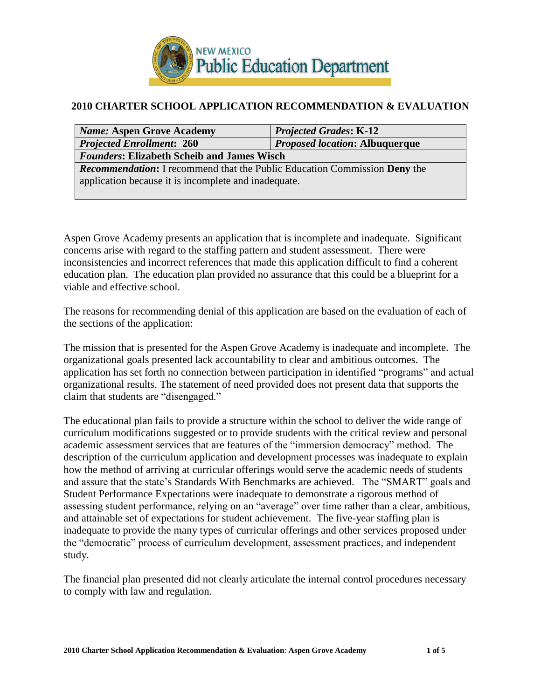

#### **2010 CHARTER SCHOOL APPLICATION RECOMMENDATION & EVALUATION**

| <b>Name: Aspen Grove Academy</b>                                                 | <b>Projected Grades: K-12</b> |  |  |
|----------------------------------------------------------------------------------|-------------------------------|--|--|
| <i>Proposed location: Albuquerque</i><br><b>Projected Enrollment: 260</b>        |                               |  |  |
| <b>Founders: Elizabeth Scheib and James Wisch</b>                                |                               |  |  |
| <b>Recommendation:</b> I recommend that the Public Education Commission Deny the |                               |  |  |
| application because it is incomplete and inadequate.                             |                               |  |  |
|                                                                                  |                               |  |  |

Aspen Grove Academy presents an application that is incomplete and inadequate. Significant concerns arise with regard to the staffing pattern and student assessment. There were inconsistencies and incorrect references that made this application difficult to find a coherent education plan. The education plan provided no assurance that this could be a blueprint for a viable and effective school.

The reasons for recommending denial of this application are based on the evaluation of each of the sections of the application:

The mission that is presented for the Aspen Grove Academy is inadequate and incomplete. The organizational goals presented lack accountability to clear and ambitious outcomes. The application has set forth no connection between participation in identified "programs" and actual organizational results. The statement of need provided does not present data that supports the claim that students are "disengaged."

The educational plan fails to provide a structure within the school to deliver the wide range of curriculum modifications suggested or to provide students with the critical review and personal academic assessment services that are features of the "immersion democracy" method. The description of the curriculum application and development processes was inadequate to explain how the method of arriving at curricular offerings would serve the academic needs of students and assure that the state's Standards With Benchmarks are achieved. The "SMART" goals and Student Performance Expectations were inadequate to demonstrate a rigorous method of assessing student performance, relying on an "average" over time rather than a clear, ambitious, and attainable set of expectations for student achievement. The five-year staffing plan is inadequate to provide the many types of curricular offerings and other services proposed under the "democratic" process of curriculum development, assessment practices, and independent study.

The financial plan presented did not clearly articulate the internal control procedures necessary to comply with law and regulation.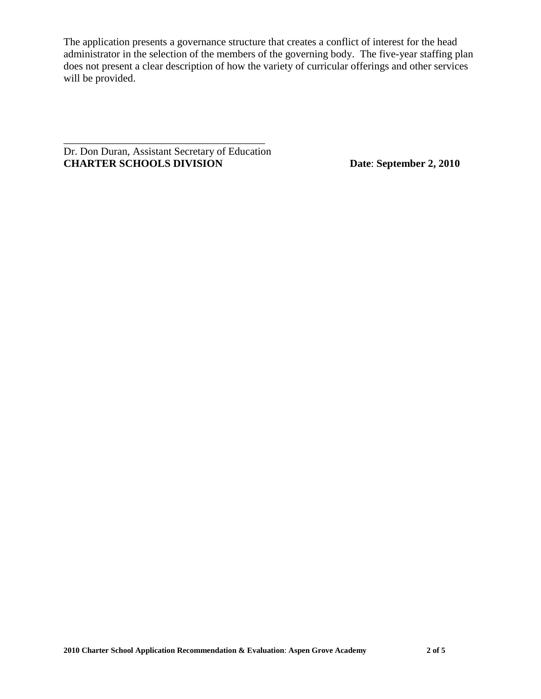The application presents a governance structure that creates a conflict of interest for the head administrator in the selection of the members of the governing body. The five-year staffing plan does not present a clear description of how the variety of curricular offerings and other services will be provided.

Dr. Don Duran, Assistant Secretary of Education **CHARTER SCHOOLS DIVISION Date**: **September 2, 2010**

\_\_\_\_\_\_\_\_\_\_\_\_\_\_\_\_\_\_\_\_\_\_\_\_\_\_\_\_\_\_\_\_\_\_\_\_\_\_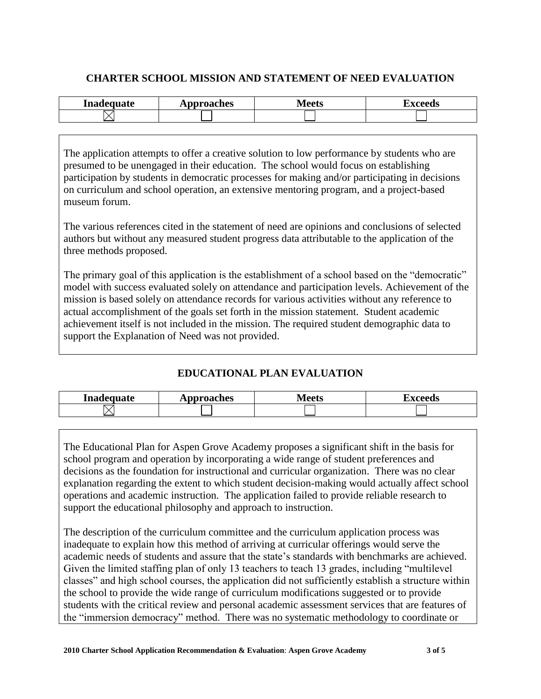## **CHARTER SCHOOL MISSION AND STATEMENT OF NEED EVALUATION**

| Inadequate | pproaches | <b>Maate</b> | <b><i>VOOONG</i></b> |
|------------|-----------|--------------|----------------------|
|            | ЛI        | luus         | ∿นอ                  |
|            |           |              |                      |

The application attempts to offer a creative solution to low performance by students who are presumed to be unengaged in their education. The school would focus on establishing participation by students in democratic processes for making and/or participating in decisions on curriculum and school operation, an extensive mentoring program, and a project-based museum forum.

The various references cited in the statement of need are opinions and conclusions of selected authors but without any measured student progress data attributable to the application of the three methods proposed.

The primary goal of this application is the establishment of a school based on the "democratic" model with success evaluated solely on attendance and participation levels. Achievement of the mission is based solely on attendance records for various activities without any reference to actual accomplishment of the goals set forth in the mission statement. Student academic achievement itself is not included in the mission. The required student demographic data to support the Explanation of Need was not provided.

# **EDUCATIONAL PLAN EVALUATION**

| Inadequate | <b>pproaches</b> | <u> A/I aatc</u><br>◡ၬ | <b>TAQOO</b><br>wus |
|------------|------------------|------------------------|---------------------|
|            |                  |                        |                     |

The Educational Plan for Aspen Grove Academy proposes a significant shift in the basis for school program and operation by incorporating a wide range of student preferences and decisions as the foundation for instructional and curricular organization. There was no clear explanation regarding the extent to which student decision-making would actually affect school operations and academic instruction. The application failed to provide reliable research to support the educational philosophy and approach to instruction.

The description of the curriculum committee and the curriculum application process was inadequate to explain how this method of arriving at curricular offerings would serve the academic needs of students and assure that the state's standards with benchmarks are achieved. Given the limited staffing plan of only 13 teachers to teach 13 grades, including "multilevel classes" and high school courses, the application did not sufficiently establish a structure within the school to provide the wide range of curriculum modifications suggested or to provide students with the critical review and personal academic assessment services that are features of the "immersion democracy" method. There was no systematic methodology to coordinate or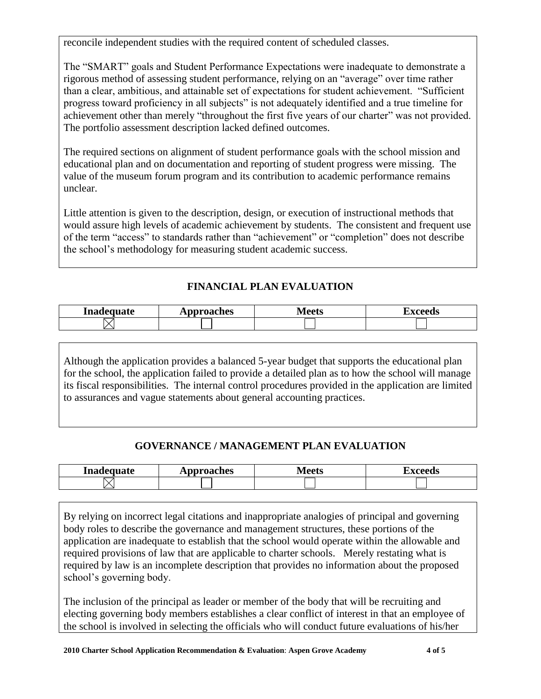reconcile independent studies with the required content of scheduled classes.

The "SMART" goals and Student Performance Expectations were inadequate to demonstrate a rigorous method of assessing student performance, relying on an "average" over time rather than a clear, ambitious, and attainable set of expectations for student achievement. "Sufficient progress toward proficiency in all subjects" is not adequately identified and a true timeline for achievement other than merely "throughout the first five years of our charter" was not provided. The portfolio assessment description lacked defined outcomes.

The required sections on alignment of student performance goals with the school mission and educational plan and on documentation and reporting of student progress were missing. The value of the museum forum program and its contribution to academic performance remains unclear.

Little attention is given to the description, design, or execution of instructional methods that would assure high levels of academic achievement by students. The consistent and frequent use of the term "access" to standards rather than "achievement" or "completion" does not describe the school's methodology for measuring student academic success.

# **FINANCIAL PLAN EVALUATION**

| Inadequate | pproaches<br>. | al aatc<br>TIULIS | 1 vooode<br>ىمت<br>ww |
|------------|----------------|-------------------|-----------------------|
|            |                |                   |                       |

Although the application provides a balanced 5-year budget that supports the educational plan for the school, the application failed to provide a detailed plan as to how the school will manage its fiscal responsibilities. The internal control procedures provided in the application are limited to assurances and vague statements about general accounting practices.

# **GOVERNANCE / MANAGEMENT PLAN EVALUATION**

| Inadequate | <b>diocaches</b><br>л | / олтс<br>レレビ | <i>smaade</i> |
|------------|-----------------------|---------------|---------------|
|            |                       |               |               |

By relying on incorrect legal citations and inappropriate analogies of principal and governing body roles to describe the governance and management structures, these portions of the application are inadequate to establish that the school would operate within the allowable and required provisions of law that are applicable to charter schools. Merely restating what is required by law is an incomplete description that provides no information about the proposed school's governing body.

The inclusion of the principal as leader or member of the body that will be recruiting and electing governing body members establishes a clear conflict of interest in that an employee of the school is involved in selecting the officials who will conduct future evaluations of his/her